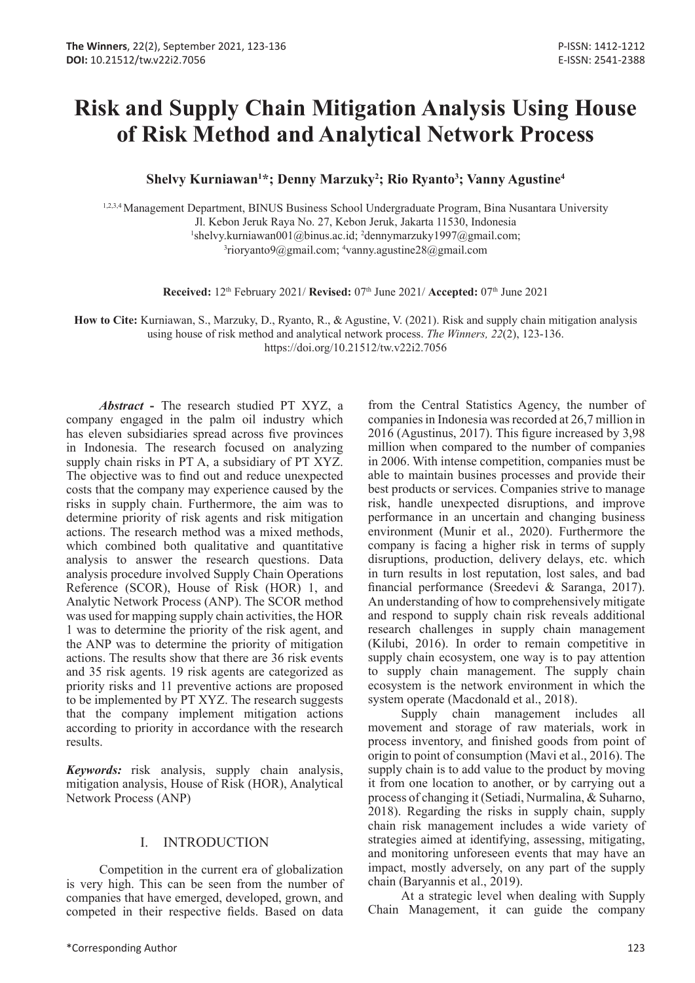# **Risk and Supply Chain Mitigation Analysis Using House of Risk Method and Analytical Network Process**

**Shelvy Kurniawan1 \*; Denny Marzuky2 ; Rio Ryanto3 ; Vanny Agustine4**

1,2,3,4 Management Department, BINUS Business School Undergraduate Program, Bina Nusantara University Jl. Kebon Jeruk Raya No. 27, Kebon Jeruk, Jakarta 11530, Indonesia <sup>1</sup>shelvy.kurniawan001@binus.ac.id; <sup>2</sup>dennymarzuky1997@gmail.com;<br><sup>3</sup>rioryanto9@gmail.com; <sup>4</sup>yanny agustine28@gmail.com rioryanto9@gmail.com; 4 vanny.agustine28@gmail.com

**Received:** 12th February 2021/ **Revised:** 07th June 2021/ **Accepted:** 07th June 2021

**How to Cite:** Kurniawan, S., Marzuky, D., Ryanto, R., & Agustine, V. (2021). Risk and supply chain mitigation analysis using house of risk method and analytical network process. *The Winners, 22*(2), 123-136. https://doi.org/10.21512/tw.v22i2.7056

*Abstract* **-** The research studied PT XYZ, a company engaged in the palm oil industry which has eleven subsidiaries spread across five provinces in Indonesia. The research focused on analyzing supply chain risks in PT A, a subsidiary of PT XYZ. The objective was to find out and reduce unexpected costs that the company may experience caused by the risks in supply chain. Furthermore, the aim was to determine priority of risk agents and risk mitigation actions. The research method was a mixed methods, which combined both qualitative and quantitative analysis to answer the research questions. Data analysis procedure involved Supply Chain Operations Reference (SCOR), House of Risk (HOR) 1, and Analytic Network Process (ANP). The SCOR method was used for mapping supply chain activities, the HOR 1 was to determine the priority of the risk agent, and the ANP was to determine the priority of mitigation actions. The results show that there are 36 risk events and 35 risk agents. 19 risk agents are categorized as priority risks and 11 preventive actions are proposed to be implemented by PT XYZ. The research suggests that the company implement mitigation actions according to priority in accordance with the research results.

*Keywords:* risk analysis, supply chain analysis, mitigation analysis, House of Risk (HOR), Analytical Network Process (ANP)

# I. INTRODUCTION

Competition in the current era of globalization is very high. This can be seen from the number of companies that have emerged, developed, grown, and competed in their respective fields. Based on data

from the Central Statistics Agency, the number of companies in Indonesia was recorded at 26,7 million in 2016 (Agustinus, 2017). This figure increased by 3,98 million when compared to the number of companies in 2006. With intense competition, companies must be able to maintain busines processes and provide their best products or services. Companies strive to manage risk, handle unexpected disruptions, and improve performance in an uncertain and changing business environment (Munir et al., 2020). Furthermore the company is facing a higher risk in terms of supply disruptions, production, delivery delays, etc. which in turn results in lost reputation, lost sales, and bad financial performance (Sreedevi & Saranga, 2017). An understanding of how to comprehensively mitigate and respond to supply chain risk reveals additional research challenges in supply chain management (Kilubi, 2016). In order to remain competitive in supply chain ecosystem, one way is to pay attention to supply chain management. The supply chain ecosystem is the network environment in which the system operate (Macdonald et al., 2018).

Supply chain management includes all movement and storage of raw materials, work in process inventory, and finished goods from point of origin to point of consumption (Mavi et al., 2016). The supply chain is to add value to the product by moving it from one location to another, or by carrying out a process of changing it (Setiadi, Nurmalina, & Suharno, 2018). Regarding the risks in supply chain, supply chain risk management includes a wide variety of strategies aimed at identifying, assessing, mitigating, and monitoring unforeseen events that may have an impact, mostly adversely, on any part of the supply chain (Baryannis et al., 2019).

At a strategic level when dealing with Supply Chain Management, it can guide the company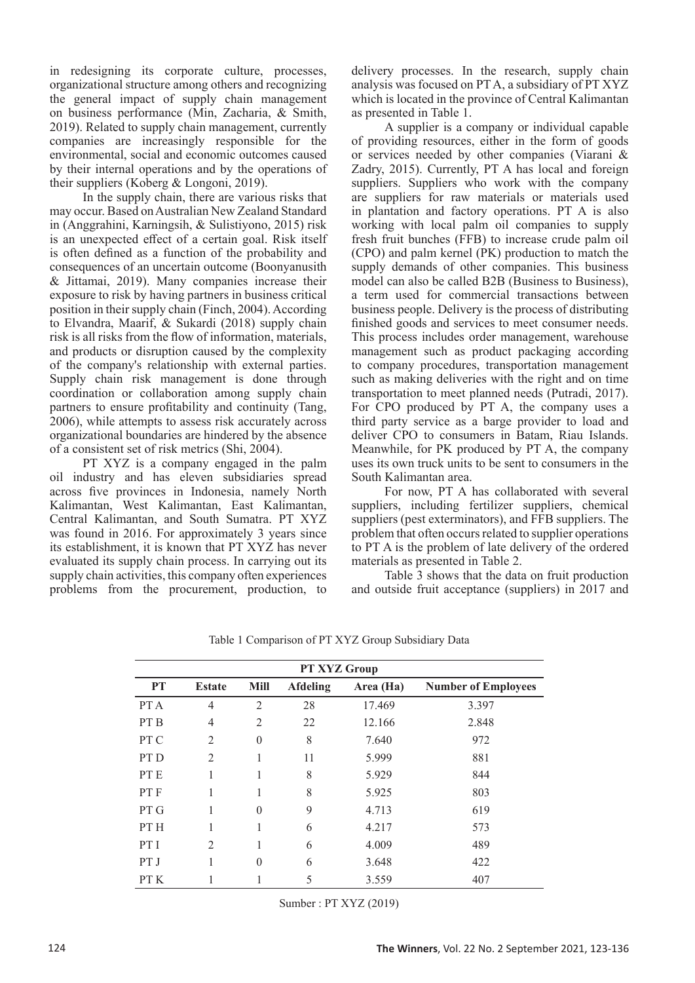in redesigning its corporate culture, processes, organizational structure among others and recognizing the general impact of supply chain management on business performance (Min, Zacharia, & Smith, 2019). Related to supply chain management, currently companies are increasingly responsible for the environmental, social and economic outcomes caused by their internal operations and by the operations of their suppliers (Koberg & Longoni, 2019).

In the supply chain, there are various risks that may occur. Based on Australian New Zealand Standard in (Anggrahini, Karningsih, & Sulistiyono, 2015) risk is an unexpected effect of a certain goal. Risk itself is often defined as a function of the probability and consequences of an uncertain outcome (Boonyanusith & Jittamai, 2019). Many companies increase their exposure to risk by having partners in business critical position in their supply chain (Finch, 2004). According to Elvandra, Maarif, & Sukardi (2018) supply chain risk is all risks from the flow of information, materials, and products or disruption caused by the complexity of the company's relationship with external parties. Supply chain risk management is done through coordination or collaboration among supply chain partners to ensure profitability and continuity (Tang, 2006), while attempts to assess risk accurately across organizational boundaries are hindered by the absence of a consistent set of risk metrics (Shi, 2004).

PT XYZ is a company engaged in the palm oil industry and has eleven subsidiaries spread across five provinces in Indonesia, namely North Kalimantan, West Kalimantan, East Kalimantan, Central Kalimantan, and South Sumatra. PT XYZ was found in 2016. For approximately 3 years since its establishment, it is known that PT XYZ has never evaluated its supply chain process. In carrying out its supply chain activities, this company often experiences problems from the procurement, production, to

delivery processes. In the research, supply chain analysis was focused on PT A, a subsidiary of PT XYZ which is located in the province of Central Kalimantan as presented in Table 1.

A supplier is a company or individual capable of providing resources, either in the form of goods or services needed by other companies (Viarani & Zadry, 2015). Currently, PT A has local and foreign suppliers. Suppliers who work with the company are suppliers for raw materials or materials used in plantation and factory operations. PT A is also working with local palm oil companies to supply fresh fruit bunches (FFB) to increase crude palm oil (CPO) and palm kernel (PK) production to match the supply demands of other companies. This business model can also be called B2B (Business to Business), a term used for commercial transactions between business people. Delivery is the process of distributing finished goods and services to meet consumer needs. This process includes order management, warehouse management such as product packaging according to company procedures, transportation management such as making deliveries with the right and on time transportation to meet planned needs (Putradi, 2017). For CPO produced by PT A, the company uses a third party service as a barge provider to load and deliver CPO to consumers in Batam, Riau Islands. Meanwhile, for PK produced by PT A, the company uses its own truck units to be sent to consumers in the South Kalimantan area.

For now, PT A has collaborated with several suppliers, including fertilizer suppliers, chemical suppliers (pest exterminators), and FFB suppliers. The problem that often occurs related to supplier operations to PT A is the problem of late delivery of the ordered materials as presented in Table 2.

Table 3 shows that the data on fruit production and outside fruit acceptance (suppliers) in 2017 and

| PT XYZ Group    |                |                |                 |           |                            |
|-----------------|----------------|----------------|-----------------|-----------|----------------------------|
| <b>PT</b>       | <b>Estate</b>  | Mill           | <b>Afdeling</b> | Area (Ha) | <b>Number of Employees</b> |
| PT A            | 4              | 2              | 28              | 17.469    | 3.397                      |
| PT <sub>B</sub> | 4              | $\mathfrak{D}$ | 22              | 12.166    | 2.848                      |
| PT C            | $\overline{2}$ | $\theta$       | 8               | 7.640     | 972                        |
| PT <sub>D</sub> | $\overline{2}$ |                | 11              | 5.999     | 881                        |
| PT E            |                |                | 8               | 5.929     | 844                        |
| PT F            |                |                | 8               | 5.925     | 803                        |
| PT G            |                | $\theta$       | 9               | 4.713     | 619                        |
| PT H            |                | 1              | 6               | 4.217     | 573                        |
| PT I            | $\mathfrak{D}$ |                | 6               | 4.009     | 489                        |
| PT J            |                | $\theta$       | 6               | 3.648     | 422                        |
| PT K            |                |                | 5               | 3.559     | 407                        |

Table 1 Comparison of PT XYZ Group Subsidiary Data

Sumber : PT XYZ (2019)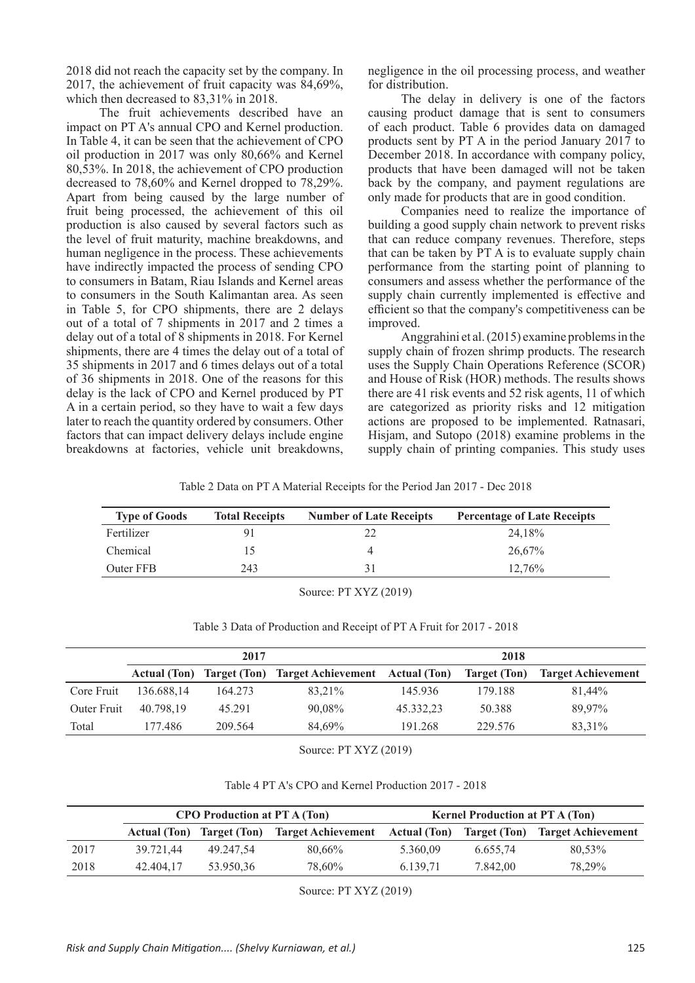2018 did not reach the capacity set by the company. In 2017, the achievement of fruit capacity was 84,69%, which then decreased to 83,31% in 2018.

The fruit achievements described have an impact on PT A's annual CPO and Kernel production. In Table 4, it can be seen that the achievement of CPO oil production in 2017 was only 80,66% and Kernel 80,53%. In 2018, the achievement of CPO production decreased to 78,60% and Kernel dropped to 78,29%. Apart from being caused by the large number of fruit being processed, the achievement of this oil production is also caused by several factors such as the level of fruit maturity, machine breakdowns, and human negligence in the process. These achievements have indirectly impacted the process of sending CPO to consumers in Batam, Riau Islands and Kernel areas to consumers in the South Kalimantan area. As seen in Table 5, for CPO shipments, there are 2 delays out of a total of 7 shipments in 2017 and 2 times a delay out of a total of 8 shipments in 2018. For Kernel shipments, there are 4 times the delay out of a total of 35 shipments in 2017 and 6 times delays out of a total of 36 shipments in 2018. One of the reasons for this delay is the lack of CPO and Kernel produced by PT A in a certain period, so they have to wait a few days later to reach the quantity ordered by consumers. Other factors that can impact delivery delays include engine breakdowns at factories, vehicle unit breakdowns,

negligence in the oil processing process, and weather for distribution.

The delay in delivery is one of the factors causing product damage that is sent to consumers of each product. Table 6 provides data on damaged products sent by PT A in the period January 2017 to December 2018. In accordance with company policy, products that have been damaged will not be taken back by the company, and payment regulations are only made for products that are in good condition.

Companies need to realize the importance of building a good supply chain network to prevent risks that can reduce company revenues. Therefore, steps that can be taken by PT A is to evaluate supply chain performance from the starting point of planning to consumers and assess whether the performance of the supply chain currently implemented is effective and efficient so that the company's competitiveness can be improved.

Anggrahini et al. (2015) examine problems in the supply chain of frozen shrimp products. The research uses the Supply Chain Operations Reference (SCOR) and House of Risk (HOR) methods. The results shows there are 41 risk events and 52 risk agents, 11 of which are categorized as priority risks and 12 mitigation actions are proposed to be implemented. Ratnasari, Hisjam, and Sutopo (2018) examine problems in the supply chain of printing companies. This study uses

Table 2 Data on PT A Material Receipts for the Period Jan 2017 - Dec 2018

| <b>Total Receipts</b> | <b>Number of Late Receipts</b> | <b>Percentage of Late Receipts</b> |
|-----------------------|--------------------------------|------------------------------------|
|                       |                                | 24.18%                             |
|                       |                                | 26,67%                             |
| 243                   |                                | 12.76%                             |
|                       |                                |                                    |

Source: PT XYZ (2019)

|             | 2017                |         |                                              | 2018      |              |                           |
|-------------|---------------------|---------|----------------------------------------------|-----------|--------------|---------------------------|
|             | <b>Actual</b> (Ton) |         | Target (Ton) Target Achievement Actual (Ton) |           | Target (Ton) | <b>Target Achievement</b> |
| Core Fruit  | 136.688,14          | 164.273 | 83.21%                                       | 145.936   | 179.188      | 81,44%                    |
| Outer Fruit | 40.798.19           | 45.291  | 90.08%                                       | 45.332,23 | 50.388       | 89.97%                    |
| Total       | 177.486             | 209.564 | 84.69%                                       | 191.268   | 229.576      | 83,31%                    |

Table 3 Data of Production and Receipt of PT A Fruit for 2017 - 2018

Source: PT XYZ (2019)

| Table 4 PT A's CPO and Kernel Production 2017 - 2018 |
|------------------------------------------------------|
|------------------------------------------------------|

|      |                     | <b>CPO</b> Production at PT A (Ton) |                                 | <b>Kernel Production at PT A (Ton)</b> |          |                                        |
|------|---------------------|-------------------------------------|---------------------------------|----------------------------------------|----------|----------------------------------------|
|      | <b>Actual</b> (Ton) |                                     | Target (Ton) Target Achievement | <b>Actual (Ton)</b>                    |          | <b>Target (Ton)</b> Target Achievement |
| 2017 | 39.721.44           | 49.247.54                           | 80.66%                          | 5.360.09                               | 6.655.74 | 80.53%                                 |
| 2018 | 42.404.17           | 53.950.36                           | 78.60%                          | 6.139.71                               | 7.842,00 | 78.29%                                 |

Source: PT XYZ (2019)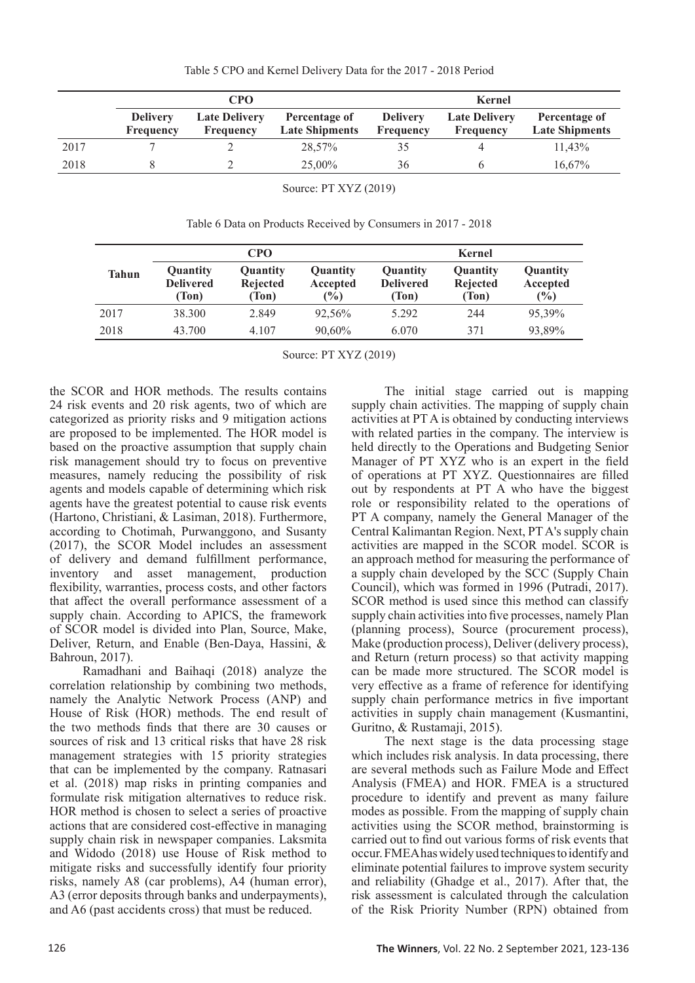|      | CPO                                 |                                          |                                        | <b>Kernel</b>                |                                   |                                        |
|------|-------------------------------------|------------------------------------------|----------------------------------------|------------------------------|-----------------------------------|----------------------------------------|
|      | <b>Delivery</b><br><b>Frequency</b> | <b>Late Delivery</b><br><b>Frequency</b> | Percentage of<br><b>Late Shipments</b> | <b>Delivery</b><br>Frequency | <b>Late Delivery</b><br>Frequency | Percentage of<br><b>Late Shipments</b> |
| 2017 |                                     |                                          | 28,57%                                 |                              |                                   | 11.43%                                 |
| 2018 |                                     |                                          | 25,00%                                 | 36                           |                                   | 16.67%                                 |

Source: PT XYZ (2019)

Table 6 Data on Products Received by Consumers in 2017 - 2018

|              |                                       | <b>CPO</b>                           |                             |                                       | <b>Kernel</b>                 |                                       |
|--------------|---------------------------------------|--------------------------------------|-----------------------------|---------------------------------------|-------------------------------|---------------------------------------|
| <b>Tahun</b> | Quantity<br><b>Delivered</b><br>(Ton) | Quantity<br><b>Rejected</b><br>(Ton) | Quantity<br>Accepted<br>(%) | Quantity<br><b>Delivered</b><br>(Ton) | Quantity<br>Rejected<br>(Ton) | Quantity<br>Accepted<br>$\frac{6}{2}$ |
| 2017         | 38.300                                | 2.849                                | 92,56%                      | 5.292                                 | 244                           | 95,39%                                |
| 2018         | 43.700                                | 4.107                                | 90,60%                      | 6.070                                 | 371                           | 93,89%                                |

Source: PT XYZ (2019)

the SCOR and HOR methods. The results contains 24 risk events and 20 risk agents, two of which are categorized as priority risks and 9 mitigation actions are proposed to be implemented. The HOR model is based on the proactive assumption that supply chain risk management should try to focus on preventive measures, namely reducing the possibility of risk agents and models capable of determining which risk agents have the greatest potential to cause risk events (Hartono, Christiani, & Lasiman, 2018). Furthermore, according to Chotimah, Purwanggono, and Susanty (2017), the SCOR Model includes an assessment of delivery and demand fulfillment performance, inventory and asset management, production flexibility, warranties, process costs, and other factors that affect the overall performance assessment of a supply chain. According to APICS, the framework of SCOR model is divided into Plan, Source, Make, Deliver, Return, and Enable (Ben-Daya, Hassini, & Bahroun, 2017).

Ramadhani and Baihaqi (2018) analyze the correlation relationship by combining two methods, namely the Analytic Network Process (ANP) and House of Risk (HOR) methods. The end result of the two methods finds that there are 30 causes or sources of risk and 13 critical risks that have 28 risk management strategies with 15 priority strategies that can be implemented by the company. Ratnasari et al. (2018) map risks in printing companies and formulate risk mitigation alternatives to reduce risk. HOR method is chosen to select a series of proactive actions that are considered cost-effective in managing supply chain risk in newspaper companies. Laksmita and Widodo (2018) use House of Risk method to mitigate risks and successfully identify four priority risks, namely A8 (car problems), A4 (human error), A3 (error deposits through banks and underpayments), and A6 (past accidents cross) that must be reduced.

The initial stage carried out is mapping supply chain activities. The mapping of supply chain activities at PT A is obtained by conducting interviews with related parties in the company. The interview is held directly to the Operations and Budgeting Senior Manager of PT XYZ who is an expert in the field of operations at PT XYZ. Questionnaires are filled out by respondents at PT A who have the biggest role or responsibility related to the operations of PT A company, namely the General Manager of the Central Kalimantan Region. Next, PT A's supply chain activities are mapped in the SCOR model. SCOR is an approach method for measuring the performance of a supply chain developed by the SCC (Supply Chain Council), which was formed in 1996 (Putradi, 2017). SCOR method is used since this method can classify supply chain activities into five processes, namely Plan (planning process), Source (procurement process), Make (production process), Deliver (delivery process), and Return (return process) so that activity mapping can be made more structured. The SCOR model is very effective as a frame of reference for identifying supply chain performance metrics in five important activities in supply chain management (Kusmantini, Guritno, & Rustamaji, 2015).

The next stage is the data processing stage which includes risk analysis. In data processing, there are several methods such as Failure Mode and Effect Analysis (FMEA) and HOR. FMEA is a structured procedure to identify and prevent as many failure modes as possible. From the mapping of supply chain activities using the SCOR method, brainstorming is carried out to find out various forms of risk events that occur. FMEA has widely used techniques to identify and eliminate potential failures to improve system security and reliability (Ghadge et al., 2017). After that, the risk assessment is calculated through the calculation of the Risk Priority Number (RPN) obtained from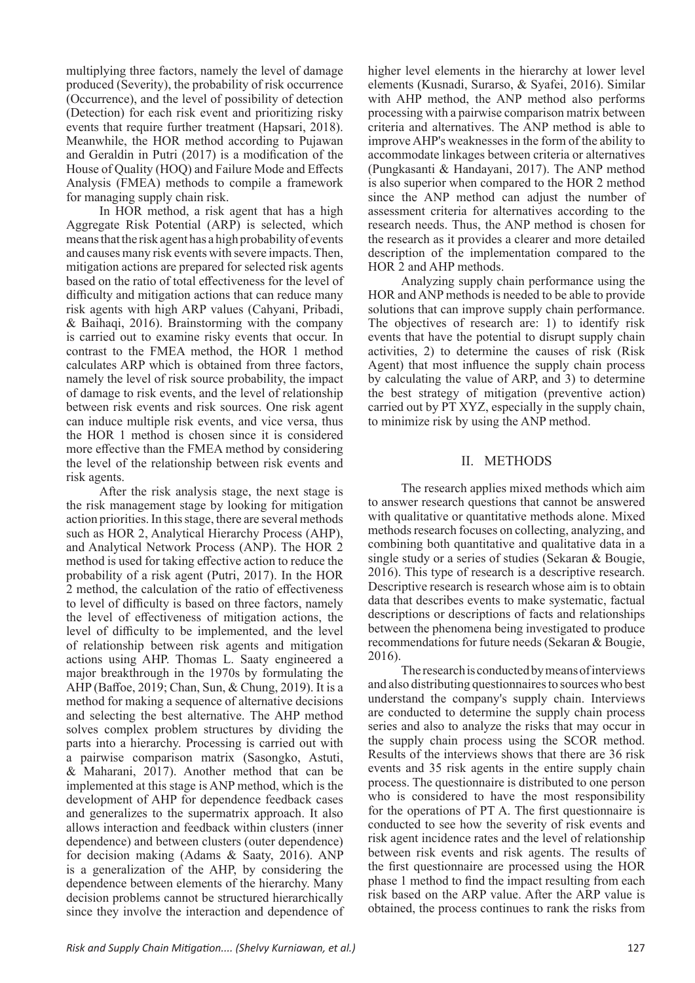multiplying three factors, namely the level of damage produced (Severity), the probability of risk occurrence (Occurrence), and the level of possibility of detection (Detection) for each risk event and prioritizing risky events that require further treatment (Hapsari, 2018). Meanwhile, the HOR method according to Pujawan and Geraldin in Putri (2017) is a modification of the House of Quality (HOQ) and Failure Mode and Effects Analysis (FMEA) methods to compile a framework for managing supply chain risk.

In HOR method, a risk agent that has a high Aggregate Risk Potential (ARP) is selected, which means that the risk agent has a high probability of events and causes many risk events with severe impacts. Then, mitigation actions are prepared for selected risk agents based on the ratio of total effectiveness for the level of difficulty and mitigation actions that can reduce many risk agents with high ARP values (Cahyani, Pribadi, & Baihaqi, 2016). Brainstorming with the company is carried out to examine risky events that occur. In contrast to the FMEA method, the HOR 1 method calculates ARP which is obtained from three factors, namely the level of risk source probability, the impact of damage to risk events, and the level of relationship between risk events and risk sources. One risk agent can induce multiple risk events, and vice versa, thus the HOR 1 method is chosen since it is considered more effective than the FMEA method by considering the level of the relationship between risk events and risk agents.

After the risk analysis stage, the next stage is the risk management stage by looking for mitigation action priorities. In this stage, there are several methods such as HOR 2, Analytical Hierarchy Process (AHP), and Analytical Network Process (ANP). The HOR 2 method is used for taking effective action to reduce the probability of a risk agent (Putri, 2017). In the HOR 2 method, the calculation of the ratio of effectiveness to level of difficulty is based on three factors, namely the level of effectiveness of mitigation actions, the level of difficulty to be implemented, and the level of relationship between risk agents and mitigation actions using AHP. Thomas L. Saaty engineered a major breakthrough in the 1970s by formulating the AHP (Baffoe, 2019; Chan, Sun, & Chung, 2019). It is a method for making a sequence of alternative decisions and selecting the best alternative. The AHP method solves complex problem structures by dividing the parts into a hierarchy. Processing is carried out with a pairwise comparison matrix (Sasongko, Astuti, & Maharani, 2017). Another method that can be implemented at this stage is ANP method, which is the development of AHP for dependence feedback cases and generalizes to the supermatrix approach. It also allows interaction and feedback within clusters (inner dependence) and between clusters (outer dependence) for decision making (Adams & Saaty, 2016). ANP is a generalization of the AHP, by considering the dependence between elements of the hierarchy. Many decision problems cannot be structured hierarchically since they involve the interaction and dependence of higher level elements in the hierarchy at lower level elements (Kusnadi, Surarso, & Syafei, 2016). Similar with AHP method, the ANP method also performs processing with a pairwise comparison matrix between criteria and alternatives. The ANP method is able to improve AHP's weaknesses in the form of the ability to accommodate linkages between criteria or alternatives (Pungkasanti & Handayani, 2017). The ANP method is also superior when compared to the HOR 2 method since the ANP method can adjust the number of assessment criteria for alternatives according to the research needs. Thus, the ANP method is chosen for the research as it provides a clearer and more detailed description of the implementation compared to the HOR 2 and AHP methods.

Analyzing supply chain performance using the HOR and ANP methods is needed to be able to provide solutions that can improve supply chain performance. The objectives of research are: 1) to identify risk events that have the potential to disrupt supply chain activities, 2) to determine the causes of risk (Risk Agent) that most influence the supply chain process by calculating the value of ARP, and 3) to determine the best strategy of mitigation (preventive action) carried out by PT XYZ, especially in the supply chain, to minimize risk by using the ANP method.

# II. METHODS

The research applies mixed methods which aim to answer research questions that cannot be answered with qualitative or quantitative methods alone. Mixed methods research focuses on collecting, analyzing, and combining both quantitative and qualitative data in a single study or a series of studies (Sekaran & Bougie, 2016). This type of research is a descriptive research. Descriptive research is research whose aim is to obtain data that describes events to make systematic, factual descriptions or descriptions of facts and relationships between the phenomena being investigated to produce recommendations for future needs (Sekaran & Bougie, 2016).

The research is conducted by means of interviews and also distributing questionnaires to sources who best understand the company's supply chain. Interviews are conducted to determine the supply chain process series and also to analyze the risks that may occur in the supply chain process using the SCOR method. Results of the interviews shows that there are 36 risk events and 35 risk agents in the entire supply chain process. The questionnaire is distributed to one person who is considered to have the most responsibility for the operations of PT A. The first questionnaire is conducted to see how the severity of risk events and risk agent incidence rates and the level of relationship between risk events and risk agents. The results of the first questionnaire are processed using the HOR phase 1 method to find the impact resulting from each risk based on the ARP value. After the ARP value is obtained, the process continues to rank the risks from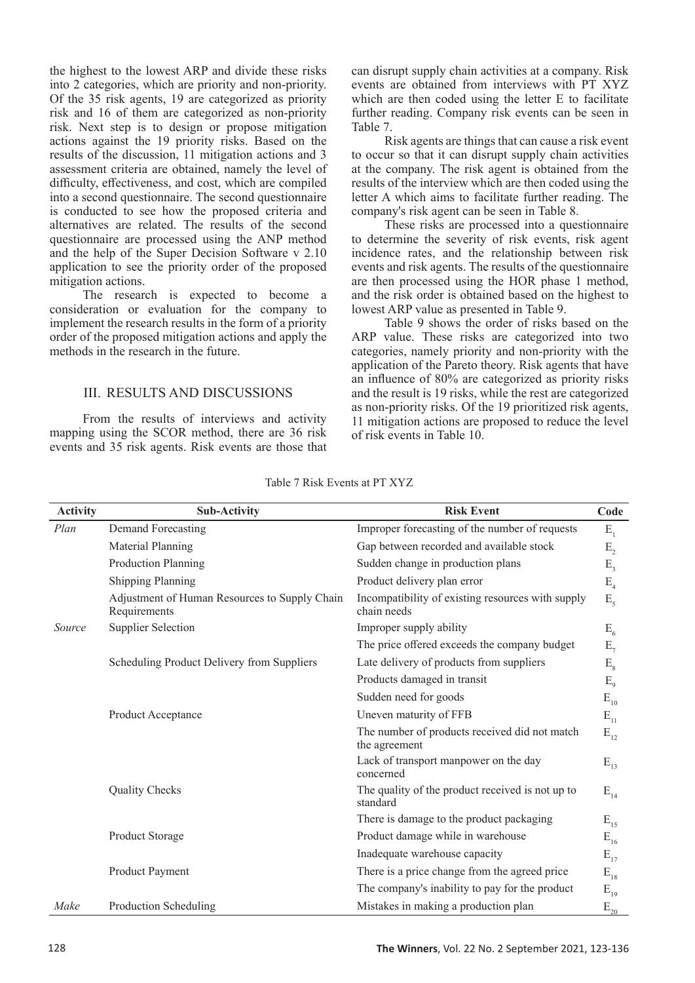the highest to the lowest ARP and divide these risks into 2 categories, which are priority and non-priority. Of the 35 risk agents, 19 are categorized as priority risk and 16 of them are categorized as non-priority risk. Next step is to design or propose mitigation actions against the 19 priority risks. Based on the results of the discussion, 11 mitigation actions and 3 assessment criteria are obtained, namely the level of difficulty, effectiveness, and cost, which are compiled into a second questionnaire. The second questionnaire is conducted to see how the proposed criteria and alternatives are related. The results of the second questionnaire are processed using the ANP method and the help of the Super Decision Software v 2.10 application to see the priority order of the proposed mitigation actions.

The research is expected to become a consideration or evaluation for the company to implement the research results in the form of a priority order of the proposed mitigation actions and apply the methods in the research in the future.

# III. RESULTS AND DISCUSSIONS

From the results of interviews and activity mapping using the SCOR method, there are 36 risk events and 35 risk agents. Risk events are those that can disrupt supply chain activities at a company. Risk events are obtained from interviews with PT XYZ which are then coded using the letter E to facilitate further reading. Company risk events can be seen in Table 7.

Risk agents are things that can cause a risk event to occur so that it can disrupt supply chain activities at the company. The risk agent is obtained from the results of the interview which are then coded using the letter A which aims to facilitate further reading. The company's risk agent can be seen in Table 8.

These risks are processed into a questionnaire to determine the severity of risk events, risk agent incidence rates, and the relationship between risk events and risk agents. The results of the questionnaire are then processed using the HOR phase 1 method, and the risk order is obtained based on the highest to lowest ARP value as presented in Table 9.

Table 9 shows the order of risks based on the ARP value. These risks are categorized into two categories, namely priority and non-priority with the application of the Pareto theory. Risk agents that have an influence of 80% are categorized as priority risks and the result is 19 risks, while the rest are categorized as non-priority risks. Of the 19 prioritized risk agents, 11 mitigation actions are proposed to reduce the level of risk events in Table 10.

| <b>Activity</b> | <b>Sub-Activity</b>                                           | <b>Risk Event</b>                                                | Code                                    |
|-----------------|---------------------------------------------------------------|------------------------------------------------------------------|-----------------------------------------|
| Plan            | Demand Forecasting                                            | Improper forecasting of the number of requests                   | $E_{1}$                                 |
|                 | Material Planning                                             | Gap between recorded and available stock                         | $E_{2}$                                 |
|                 | Production Planning                                           | Sudden change in production plans                                | $E_{3}$                                 |
|                 | <b>Shipping Planning</b>                                      | Product delivery plan error                                      | $E_{4}$                                 |
|                 | Adjustment of Human Resources to Supply Chain<br>Requirements | Incompatibility of existing resources with supply<br>chain needs | $E_5$                                   |
| Source          | <b>Supplier Selection</b>                                     | Improper supply ability                                          | $E_{6}$                                 |
|                 |                                                               | The price offered exceeds the company budget                     | $E_{7}$                                 |
|                 | Scheduling Product Delivery from Suppliers                    | Late delivery of products from suppliers                         | $E_{8}$                                 |
|                 |                                                               | Products damaged in transit                                      | $E_{9}$                                 |
|                 |                                                               | Sudden need for goods                                            | $\mathbf{E}_{\scriptscriptstyle{10}}$   |
|                 | Product Acceptance                                            | Uneven maturity of FFB                                           | $\mathbf{E}_{_{11}}$                    |
|                 |                                                               | The number of products received did not match<br>the agreement   | $E_{12}$                                |
|                 |                                                               | Lack of transport manpower on the day<br>concerned               | $E_{13}$                                |
|                 | Quality Checks                                                | The quality of the product received is not up to<br>standard     | $E_{14}$                                |
|                 |                                                               | There is damage to the product packaging                         | $E_{15}$                                |
|                 | Product Storage                                               | Product damage while in warehouse                                | $\mathbf{E}_{_{16}}$                    |
|                 |                                                               | Inadequate warehouse capacity                                    | $E_{17}$                                |
|                 | Product Payment                                               | There is a price change from the agreed price                    | $E_{18}$                                |
|                 |                                                               | The company's inability to pay for the product                   | $E_{19}$                                |
| Make            | Production Scheduling                                         | Mistakes in making a production plan                             | $\mathcal{E}_{\underline{\mathbf{20}}}$ |

Table 7 Risk Events at PT XYZ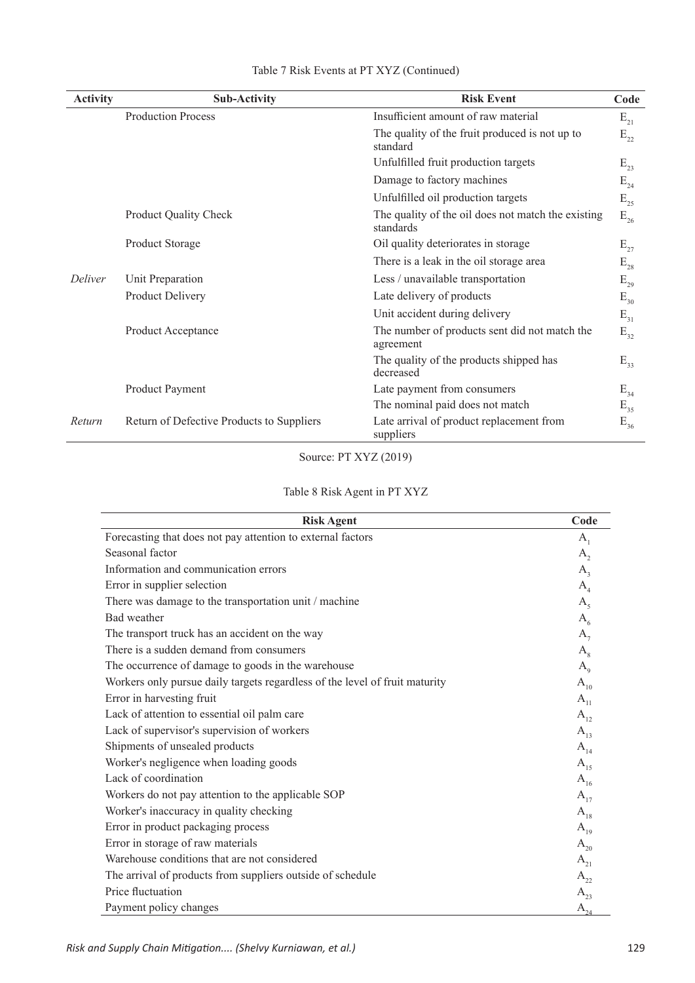| <b>Activity</b> | <b>Sub-Activity</b>                       | <b>Risk Event</b>                                               | Code                                  |
|-----------------|-------------------------------------------|-----------------------------------------------------------------|---------------------------------------|
|                 | <b>Production Process</b>                 | Insufficient amount of raw material                             | $E_{21}$                              |
|                 |                                           | The quality of the fruit produced is not up to<br>standard      | $E_{22}$                              |
|                 |                                           | Unfulfilled fruit production targets                            | $E_{23}$                              |
|                 |                                           | Damage to factory machines                                      | $\mathrm{E}_{\scriptscriptstyle{24}}$ |
|                 |                                           | Unfulfilled oil production targets                              | $\mathrm{E}_{\scriptscriptstyle{25}}$ |
|                 | Product Quality Check                     | The quality of the oil does not match the existing<br>standards | $\mathrm{E}_{\mathrm{26}}$            |
|                 | Product Storage                           | Oil quality deteriorates in storage                             | $E_{27}$                              |
|                 |                                           | There is a leak in the oil storage area                         | $\mathrm{E}_{\scriptscriptstyle{28}}$ |
| <b>Deliver</b>  | Unit Preparation                          | Less / unavailable transportation                               | $\mathrm{E}_{\mathrm{29}}$            |
|                 | Product Delivery                          | Late delivery of products                                       | $\mathrm{E}_{_{30}}$                  |
|                 |                                           | Unit accident during delivery                                   | $E_{31}$                              |
|                 | Product Acceptance                        | The number of products sent did not match the<br>agreement      | $E_{32}$                              |
|                 |                                           | The quality of the products shipped has<br>decreased            | $E_{33}$                              |
|                 | Product Payment                           | Late payment from consumers                                     | $E_{34}$                              |
|                 |                                           | The nominal paid does not match                                 | $E_{35}$                              |
| Return          | Return of Defective Products to Suppliers | Late arrival of product replacement from<br>suppliers           | $E_{36}$                              |

# Table 7 Risk Events at PT XYZ (Continued)

Source: PT XYZ (2019)

# Table 8 Risk Agent in PT XYZ

| <b>Risk Agent</b>                                                           | Code           |
|-----------------------------------------------------------------------------|----------------|
| Forecasting that does not pay attention to external factors                 | $A_1$          |
| Seasonal factor                                                             | A,             |
| Information and communication errors                                        | $A_{3}$        |
| Error in supplier selection                                                 | A <sub>4</sub> |
| There was damage to the transportation unit / machine                       | A <sub>5</sub> |
| Bad weather                                                                 | $A_{6}$        |
| The transport truck has an accident on the way                              | $A_{7}$        |
| There is a sudden demand from consumers                                     | $A_{8}$        |
| The occurrence of damage to goods in the warehouse                          | $A_{\rm q}$    |
| Workers only pursue daily targets regardless of the level of fruit maturity | $A_{10}$       |
| Error in harvesting fruit                                                   | $A_{11}$       |
| Lack of attention to essential oil palm care                                | $A_{12}$       |
| Lack of supervisor's supervision of workers                                 | $A_{13}$       |
| Shipments of unsealed products                                              | $A_{14}$       |
| Worker's negligence when loading goods                                      | $A_{15}$       |
| Lack of coordination                                                        | $A_{16}$       |
| Workers do not pay attention to the applicable SOP                          | $A_{17}$       |
| Worker's inaccuracy in quality checking                                     | $A_{18}$       |
| Error in product packaging process                                          | $A_{19}$       |
| Error in storage of raw materials                                           | $A_{20}$       |
| Warehouse conditions that are not considered                                | $A_{21}$       |
| The arrival of products from suppliers outside of schedule                  | $A_{22}$       |
| Price fluctuation                                                           | $A_{23}$       |
| Payment policy changes                                                      | $A_{24}$       |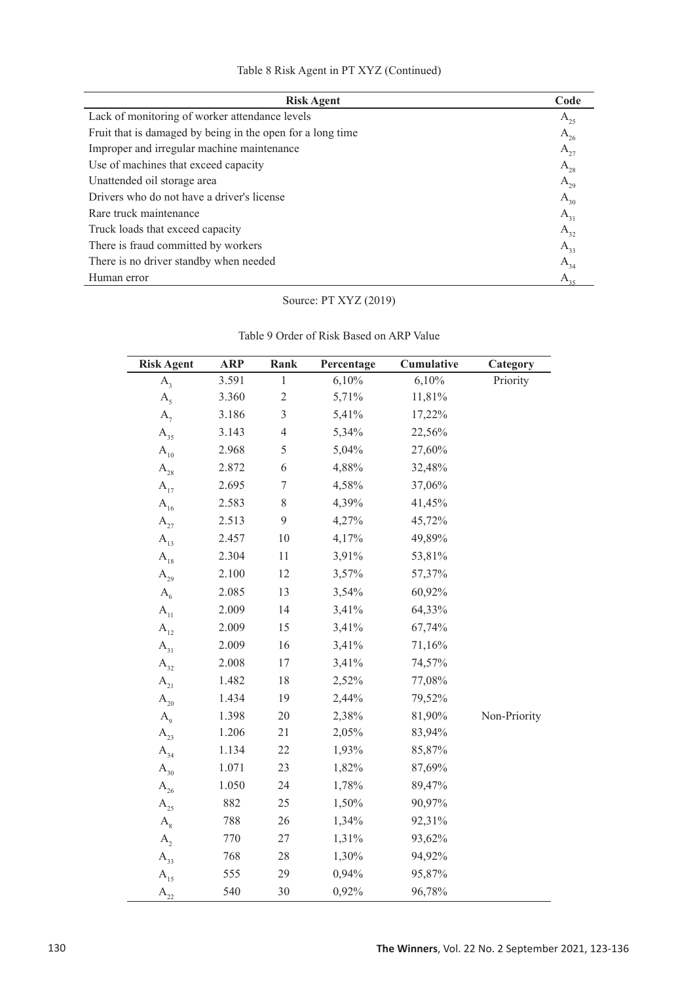| Table 8 Risk Agent in PT XYZ (Continued) |  |
|------------------------------------------|--|
|------------------------------------------|--|

| <b>Risk Agent</b>                                          | Code         |
|------------------------------------------------------------|--------------|
| Lack of monitoring of worker attendance levels             | $A_{25}$     |
| Fruit that is damaged by being in the open for a long time | $A_{26}$     |
| Improper and irregular machine maintenance                 | $A_{27}$     |
| Use of machines that exceed capacity                       | $A_{28}$     |
| Unattended oil storage area                                | $A_{29}$     |
| Drivers who do not have a driver's license                 | $A_{30}$     |
| Rare truck maintenance                                     | $A_{31}$     |
| Truck loads that exceed capacity                           | $A_{32}$     |
| There is fraud committed by workers                        | $A_{33}$     |
| There is no driver standby when needed                     | $A_{34}$     |
| Human error                                                | $A_{\alpha}$ |

# Source: PT XYZ (2019)

| <b>Risk Agent</b>                     | <b>ARP</b> | Rank           | Percentage | Cumulative | Category     |
|---------------------------------------|------------|----------------|------------|------------|--------------|
| $A_{3}$                               | 3.591      | $\mathbf{1}$   | 6,10%      | 6,10%      | Priority     |
| A <sub>5</sub>                        | 3.360      | $\overline{c}$ | 5,71%      | 11,81%     |              |
| $A_{7}$                               | 3.186      | $\overline{3}$ | 5,41%      | 17,22%     |              |
| $\mathbf{A}_{_{35}}$                  | 3.143      | $\overline{4}$ | 5,34%      | 22,56%     |              |
| $\mathbf{A}_{\mathbf{10}}$            | 2.968      | 5              | 5,04%      | 27,60%     |              |
| $A_{28}$                              | 2.872      | 6              | 4,88%      | 32,48%     |              |
| $A_{17}$                              | 2.695      | $\tau$         | 4,58%      | 37,06%     |              |
| $A_{16}$                              | 2.583      | 8              | 4,39%      | 41,45%     |              |
| $A_{27}$                              | 2.513      | 9              | 4,27%      | 45,72%     |              |
| $\mathbf{A}_{_{13}}$                  | 2.457      | 10             | 4,17%      | 49,89%     |              |
| $A_{18}$                              | 2.304      | 11             | 3,91%      | 53,81%     |              |
| $\rm A^{}_{29}$                       | 2.100      | 12             | 3,57%      | 57,37%     |              |
| $A_{6}$                               | 2.085      | 13             | 3,54%      | 60,92%     |              |
| $\mathbf{A}_{11}$                     | 2.009      | 14             | 3,41%      | 64,33%     |              |
| $\mathbf{A}_{_{12}}$                  | 2.009      | 15             | 3,41%      | 67,74%     |              |
| $\mathbf{A}_{_{31}}$                  | 2.009      | 16             | 3,41%      | 71,16%     |              |
| $\mathbf{A}_{_{32}}$                  | 2.008      | 17             | 3,41%      | 74,57%     |              |
| $\mathbf{A}_{\scriptscriptstyle{21}}$ | 1.482      | 18             | 2,52%      | 77,08%     |              |
| $\mathbf{A}_{\mathbf{20}}$            | 1.434      | 19             | 2,44%      | 79,52%     |              |
| $A_{\rm q}$                           | 1.398      | 20             | 2,38%      | 81,90%     | Non-Priority |
| $\mathbf{A}_{23}$                     | 1.206      | 21             | 2,05%      | 83,94%     |              |
| $A_{34}$                              | 1.134      | 22             | 1,93%      | 85,87%     |              |
| $\mathbf{A}_{_{30}}$                  | 1.071      | 23             | 1,82%      | 87,69%     |              |
| $\rm A^{}_{26}$                       | 1.050      | 24             | 1,78%      | 89,47%     |              |
| $\rm A^{}_{25}$                       | 882        | 25             | 1,50%      | 90,97%     |              |
| $A_{8}$                               | 788        | 26             | 1,34%      | 92,31%     |              |
| $A_{2}$                               | 770        | 27             | 1,31%      | 93,62%     |              |
| $A_{33}$                              | 768        | 28             | 1,30%      | 94,92%     |              |
| $A_{15}$                              | 555        | 29             | 0,94%      | 95,87%     |              |
| $A_{22}$                              | 540        | 30             | 0,92%      | 96,78%     |              |

Table 9 Order of Risk Based on ARP Value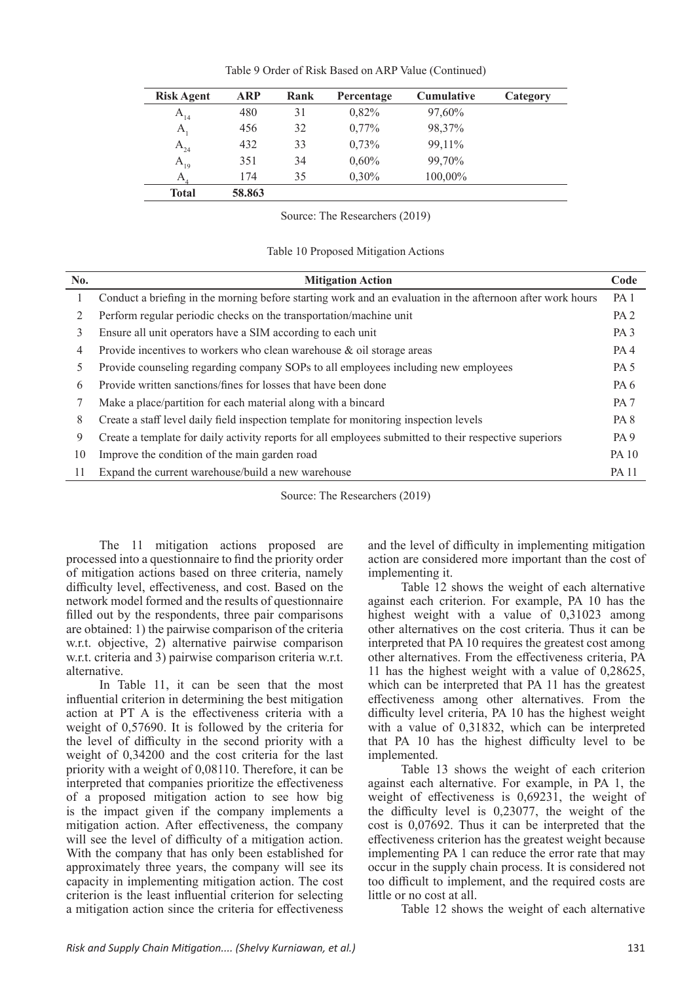| <b>Risk Agent</b> | <b>ARP</b> | Rank | Percentage | <b>Cumulative</b> | Category |
|-------------------|------------|------|------------|-------------------|----------|
| $A_{14}$          | 480        | 31   | 0.82%      | 97,60%            |          |
| $A_{1}$           | 456        | 32   | $0,77\%$   | 98,37%            |          |
| $A_{24}$          | 432        | 33   | 0,73%      | 99,11%            |          |
| $A_{19}$          | 351        | 34   | $0,60\%$   | 99,70%            |          |
| A.                | 174        | 35   | 0,30%      | 100,00%           |          |
| <b>Total</b>      | 58.863     |      |            |                   |          |

Table 9 Order of Risk Based on ARP Value (Continued)

Source: The Researchers (2019)

Table 10 Proposed Mitigation Actions

| No. | <b>Mitigation Action</b>                                                                                   | Code            |
|-----|------------------------------------------------------------------------------------------------------------|-----------------|
|     | Conduct a briefing in the morning before starting work and an evaluation in the afternoon after work hours | PA <sub>1</sub> |
| 2   | Perform regular periodic checks on the transportation/machine unit                                         | PA <sub>2</sub> |
| 3   | Ensure all unit operators have a SIM according to each unit                                                | PA <sub>3</sub> |
| 4   | Provide incentives to workers who clean warehouse & oil storage areas                                      | PA <sub>4</sub> |
| 5.  | Provide counseling regarding company SOPs to all employees including new employees                         | PA <sub>5</sub> |
| 6   | Provide written sanctions/fines for losses that have been done                                             | PA <sub>6</sub> |
|     | Make a place/partition for each material along with a bincard                                              | PA <sub>7</sub> |
| 8   | Create a staff level daily field inspection template for monitoring inspection levels                      | PA <sub>8</sub> |
| 9   | Create a template for daily activity reports for all employees submitted to their respective superiors     | PA <sub>9</sub> |
| 10  | Improve the condition of the main garden road                                                              | <b>PA</b> 10    |
| 11  | Expand the current warehouse/build a new warehouse                                                         | <b>PA 11</b>    |

Source: The Researchers (2019)

The 11 mitigation actions proposed are processed into a questionnaire to find the priority order of mitigation actions based on three criteria, namely difficulty level, effectiveness, and cost. Based on the network model formed and the results of questionnaire filled out by the respondents, three pair comparisons are obtained: 1) the pairwise comparison of the criteria w.r.t. objective, 2) alternative pairwise comparison w.r.t. criteria and 3) pairwise comparison criteria w.r.t. alternative.

In Table 11, it can be seen that the most influential criterion in determining the best mitigation action at PT A is the effectiveness criteria with a weight of 0,57690. It is followed by the criteria for the level of difficulty in the second priority with a weight of 0,34200 and the cost criteria for the last priority with a weight of 0,08110. Therefore, it can be interpreted that companies prioritize the effectiveness of a proposed mitigation action to see how big is the impact given if the company implements a mitigation action. After effectiveness, the company will see the level of difficulty of a mitigation action. With the company that has only been established for approximately three years, the company will see its capacity in implementing mitigation action. The cost criterion is the least influential criterion for selecting a mitigation action since the criteria for effectiveness

and the level of difficulty in implementing mitigation action are considered more important than the cost of implementing it.

Table 12 shows the weight of each alternative against each criterion. For example, PA 10 has the highest weight with a value of 0,31023 among other alternatives on the cost criteria. Thus it can be interpreted that PA 10 requires the greatest cost among other alternatives. From the effectiveness criteria, PA 11 has the highest weight with a value of 0,28625, which can be interpreted that PA 11 has the greatest effectiveness among other alternatives. From the difficulty level criteria, PA 10 has the highest weight with a value of 0,31832, which can be interpreted that PA 10 has the highest difficulty level to be implemented.

Table 13 shows the weight of each criterion against each alternative. For example, in PA 1, the weight of effectiveness is 0,69231, the weight of the difficulty level is 0,23077, the weight of the cost is 0,07692. Thus it can be interpreted that the effectiveness criterion has the greatest weight because implementing PA 1 can reduce the error rate that may occur in the supply chain process. It is considered not too difficult to implement, and the required costs are little or no cost at all.

Table 12 shows the weight of each alternative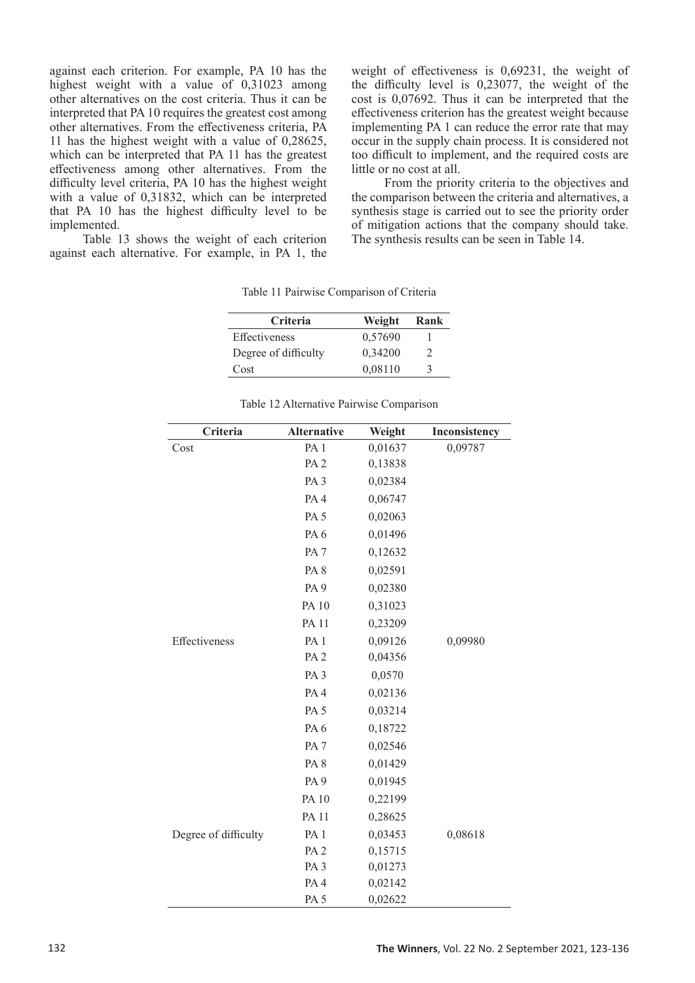against each criterion. For example, PA 10 has the highest weight with a value of 0,31023 among other alternatives on the cost criteria. Thus it can be interpreted that PA 10 requires the greatest cost among other alternatives. From the effectiveness criteria, PA 11 has the highest weight with a value of 0,28625, which can be interpreted that PA 11 has the greatest effectiveness among other alternatives. From the difficulty level criteria, PA 10 has the highest weight with a value of 0,31832, which can be interpreted that PA 10 has the highest difficulty level to be implemented.

Table 13 shows the weight of each criterion against each alternative. For example, in PA 1, the weight of effectiveness is 0,69231, the weight of the difficulty level is 0,23077, the weight of the cost is 0,07692. Thus it can be interpreted that the effectiveness criterion has the greatest weight because implementing PA 1 can reduce the error rate that may occur in the supply chain process. It is considered not too difficult to implement, and the required costs are little or no cost at all.

From the priority criteria to the objectives and the comparison between the criteria and alternatives, a synthesis stage is carried out to see the priority order of mitigation actions that the company should take. The synthesis results can be seen in Table 14.

| <b>Criteria</b>      | Weight  | Rank |
|----------------------|---------|------|
| <b>Effectiveness</b> | 0,57690 |      |
| Degree of difficulty | 0.34200 | 2    |
| Cost                 | 0.08110 | 3    |

Table 11 Pairwise Comparison of Criteria

| Criteria             | <b>Alternative</b> | Weight  | Inconsistency |
|----------------------|--------------------|---------|---------------|
| Cost                 | PA <sub>1</sub>    | 0,01637 | 0,09787       |
|                      | PA <sub>2</sub>    | 0,13838 |               |
|                      | PA <sub>3</sub>    | 0,02384 |               |
|                      | PA <sub>4</sub>    | 0,06747 |               |
|                      | PA <sub>5</sub>    | 0,02063 |               |
|                      | PA <sub>6</sub>    | 0,01496 |               |
|                      | PA <sub>7</sub>    | 0,12632 |               |
|                      | PA <sub>8</sub>    | 0,02591 |               |
|                      | PA <sub>9</sub>    | 0,02380 |               |
|                      | <b>PA10</b>        | 0,31023 |               |
|                      | <b>PA 11</b>       | 0,23209 |               |
| Effectiveness        | PA <sub>1</sub>    | 0,09126 | 0,09980       |
|                      | PA <sub>2</sub>    | 0,04356 |               |
|                      | PA <sub>3</sub>    | 0,0570  |               |
|                      | PA <sub>4</sub>    | 0,02136 |               |
|                      | PA <sub>5</sub>    | 0,03214 |               |
|                      | PA <sub>6</sub>    | 0,18722 |               |
|                      | PA <sub>7</sub>    | 0,02546 |               |
|                      | PA <sub>8</sub>    | 0,01429 |               |
|                      | PA <sub>9</sub>    | 0,01945 |               |
|                      | <b>PA10</b>        | 0,22199 |               |
|                      | <b>PA11</b>        | 0,28625 |               |
| Degree of difficulty | PA <sub>1</sub>    | 0,03453 | 0,08618       |
|                      | PA <sub>2</sub>    | 0,15715 |               |
|                      | PA <sub>3</sub>    | 0,01273 |               |
|                      | PA <sub>4</sub>    | 0,02142 |               |
|                      | PA <sub>5</sub>    | 0,02622 |               |

#### Table 12 Alternative Pairwise Comparison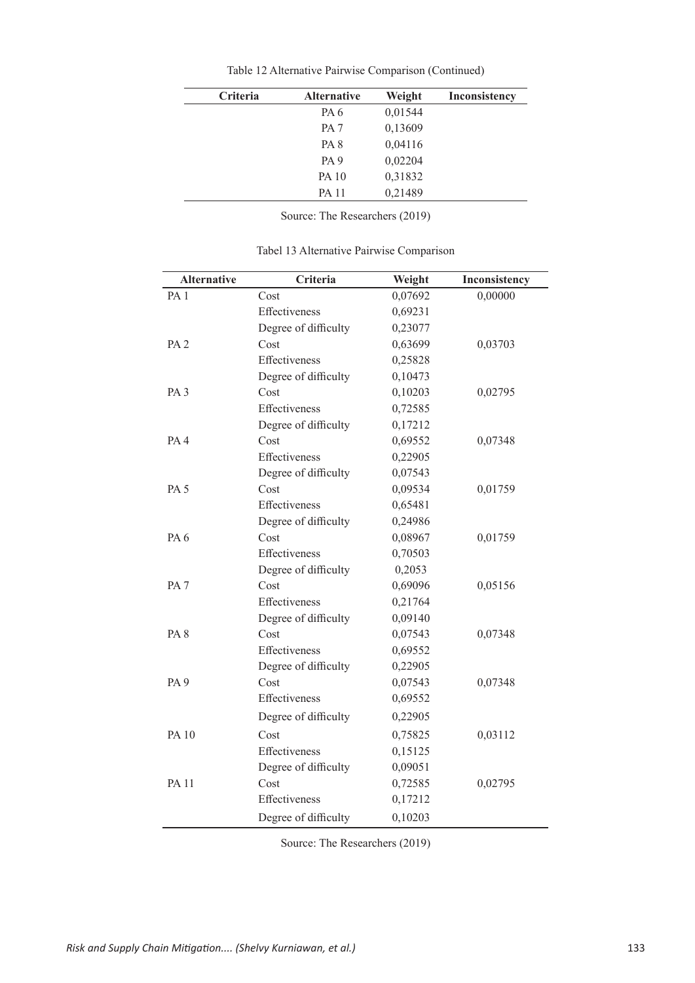| <b>Criteria</b> | <b>Alternative</b> | Weight  | <b>Inconsistency</b> |
|-----------------|--------------------|---------|----------------------|
|                 | PA <sub>6</sub>    | 0,01544 |                      |
|                 | PA <sub>7</sub>    | 0,13609 |                      |
|                 | PA <sub>8</sub>    | 0,04116 |                      |
|                 | PA <sub>9</sub>    | 0,02204 |                      |
|                 | <b>PA 10</b>       | 0,31832 |                      |
|                 | <b>PA 11</b>       | 0,21489 |                      |

Table 12 Alternative Pairwise Comparison (Continued)

Source: The Researchers (2019)

| <b>Alternative</b> | Criteria             | Weight  | Inconsistency |
|--------------------|----------------------|---------|---------------|
| PA <sub>1</sub>    | Cost                 | 0,07692 | 0,00000       |
|                    | Effectiveness        | 0,69231 |               |
|                    | Degree of difficulty | 0,23077 |               |
| PA <sub>2</sub>    | Cost                 | 0,63699 | 0,03703       |
|                    | Effectiveness        | 0,25828 |               |
|                    | Degree of difficulty | 0,10473 |               |
| PA <sub>3</sub>    | Cost                 | 0,10203 | 0,02795       |
|                    | Effectiveness        | 0,72585 |               |
|                    | Degree of difficulty | 0,17212 |               |
| PA 4               | Cost                 | 0,69552 | 0,07348       |
|                    | Effectiveness        | 0,22905 |               |
|                    | Degree of difficulty | 0,07543 |               |
| PA <sub>5</sub>    | Cost                 | 0,09534 | 0,01759       |
|                    | Effectiveness        | 0,65481 |               |
|                    | Degree of difficulty | 0,24986 |               |
| PA <sub>6</sub>    | Cost                 | 0,08967 | 0,01759       |
|                    | Effectiveness        | 0,70503 |               |
|                    | Degree of difficulty | 0,2053  |               |
| PA <sub>7</sub>    | Cost                 | 0,69096 | 0,05156       |
|                    | Effectiveness        | 0,21764 |               |
|                    | Degree of difficulty | 0,09140 |               |
| PA <sub>8</sub>    | Cost                 | 0,07543 | 0,07348       |
|                    | Effectiveness        | 0,69552 |               |
|                    | Degree of difficulty | 0,22905 |               |
| PA <sub>9</sub>    | Cost                 | 0,07543 | 0,07348       |
|                    | Effectiveness        | 0,69552 |               |
|                    | Degree of difficulty | 0,22905 |               |
| <b>PA 10</b>       | Cost                 | 0,75825 | 0,03112       |
|                    | Effectiveness        | 0,15125 |               |
|                    | Degree of difficulty | 0,09051 |               |
| <b>PA11</b>        | Cost                 | 0,72585 | 0,02795       |
|                    | Effectiveness        | 0,17212 |               |
|                    | Degree of difficulty | 0,10203 |               |

Tabel 13 Alternative Pairwise Comparison

Source: The Researchers (2019)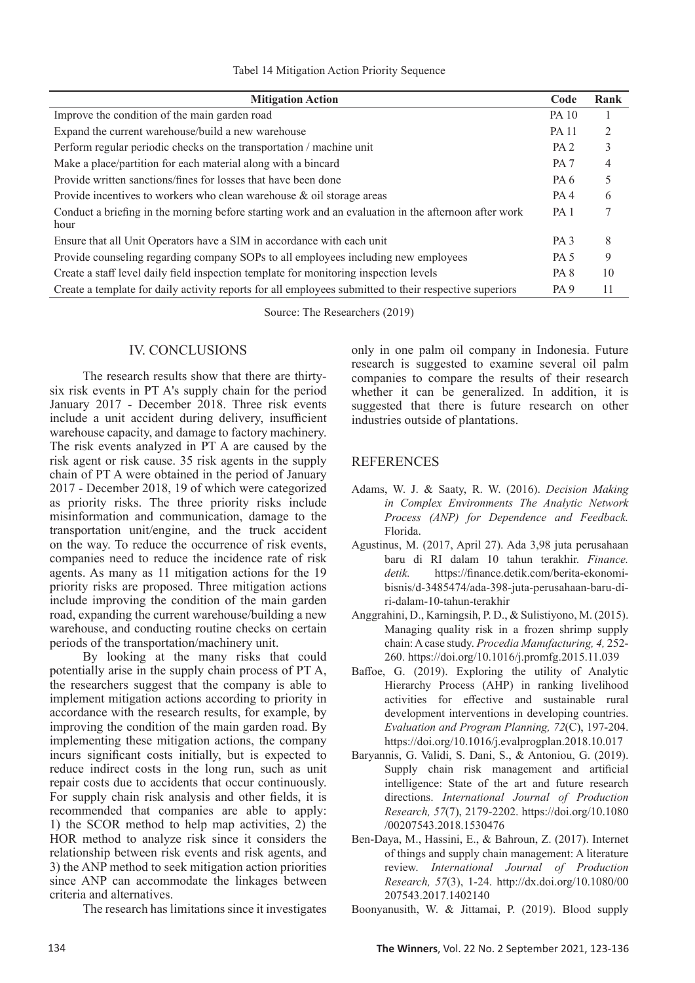| <b>Mitigation Action</b>                                                                                     | Code             | Rank |
|--------------------------------------------------------------------------------------------------------------|------------------|------|
| Improve the condition of the main garden road                                                                | <b>PA 10</b>     |      |
| Expand the current warehouse/build a new warehouse                                                           | <b>PA 11</b>     |      |
| Perform regular periodic checks on the transportation / machine unit                                         | PA <sub>2</sub>  |      |
| Make a place/partition for each material along with a bincard                                                | PA <sub>7</sub>  | 4    |
| Provide written sanctions/fines for losses that have been done                                               | PA 6             |      |
| Provide incentives to workers who clean warehouse $\&$ oil storage areas                                     | PA <sub>4</sub>  | 6    |
| Conduct a briefing in the morning before starting work and an evaluation in the afternoon after work<br>hour | PA <sub>1</sub>  |      |
| Ensure that all Unit Operators have a SIM in accordance with each unit                                       | PA <sub>3</sub>  | 8    |
| Provide counseling regarding company SOPs to all employees including new employees                           | <b>PA 5</b>      | 9    |
| Create a staff level daily field inspection template for monitoring inspection levels                        | PA 8             | 10   |
| Create a template for daily activity reports for all employees submitted to their respective superiors       | P <sub>A</sub> 9 | 11   |

Source: The Researchers (2019)

# IV. CONCLUSIONS

The research results show that there are thirtysix risk events in PT A's supply chain for the period January 2017 - December 2018. Three risk events include a unit accident during delivery, insufficient warehouse capacity, and damage to factory machinery. The risk events analyzed in PT A are caused by the risk agent or risk cause. 35 risk agents in the supply chain of PT A were obtained in the period of January 2017 - December 2018, 19 of which were categorized as priority risks. The three priority risks include misinformation and communication, damage to the transportation unit/engine, and the truck accident on the way. To reduce the occurrence of risk events, companies need to reduce the incidence rate of risk agents. As many as 11 mitigation actions for the 19 priority risks are proposed. Three mitigation actions include improving the condition of the main garden road, expanding the current warehouse/building a new warehouse, and conducting routine checks on certain periods of the transportation/machinery unit.

By looking at the many risks that could potentially arise in the supply chain process of PT A, the researchers suggest that the company is able to implement mitigation actions according to priority in accordance with the research results, for example, by improving the condition of the main garden road. By implementing these mitigation actions, the company incurs significant costs initially, but is expected to reduce indirect costs in the long run, such as unit repair costs due to accidents that occur continuously. For supply chain risk analysis and other fields, it is recommended that companies are able to apply: 1) the SCOR method to help map activities, 2) the HOR method to analyze risk since it considers the relationship between risk events and risk agents, and 3) the ANP method to seek mitigation action priorities since ANP can accommodate the linkages between criteria and alternatives.

The research has limitations since it investigates

only in one palm oil company in Indonesia. Future research is suggested to examine several oil palm companies to compare the results of their research whether it can be generalized. In addition, it is suggested that there is future research on other industries outside of plantations.

# REFERENCES

- Adams, W. J. & Saaty, R. W. (2016). *Decision Making in Complex Environments The Analytic Network Process (ANP) for Dependence and Feedback.*  Florida.
- Agustinus, M. (2017, April 27). Ada 3,98 juta perusahaan baru di RI dalam 10 tahun terakhir. *Finance. detik.* https://finance.detik.com/berita-ekonomibisnis/d-3485474/ada-398-juta-perusahaan-baru-diri-dalam-10-tahun-terakhir
- Anggrahini, D., Karningsih, P. D., & Sulistiyono, M. (2015). Managing quality risk in a frozen shrimp supply chain: A case study. *Procedia Manufacturing, 4,* 252- 260. https://doi.org/10.1016/j.promfg.2015.11.039
- Baffoe, G. (2019). Exploring the utility of Analytic Hierarchy Process (AHP) in ranking livelihood activities for effective and sustainable rural development interventions in developing countries. *Evaluation and Program Planning, 72*(C), 197-204. https://doi.org/10.1016/j.evalprogplan.2018.10.017
- Baryannis, G. Validi, S. Dani, S., & Antoniou, G. (2019). Supply chain risk management and artificial intelligence: State of the art and future research directions. *International Journal of Production Research, 57*(7), 2179-2202. https://doi.org/10.1080 /00207543.2018.1530476
- Ben-Daya, M., Hassini, E., & Bahroun, Z. (2017). Internet of things and supply chain management: A literature review. *International Journal of Production Research, 57*(3), 1-24. http://dx.doi.org/10.1080/00 207543.2017.1402140

Boonyanusith, W. & Jittamai, P. (2019). Blood supply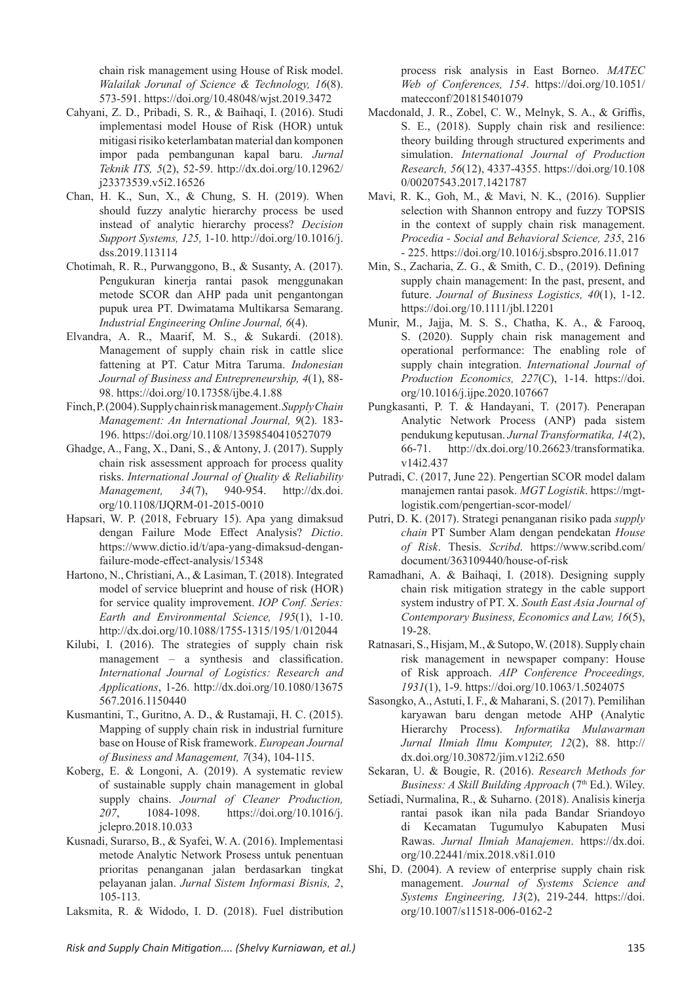chain risk management using House of Risk model. *Walailak Jorunal of Science & Technology, 16*(8). 573-591. https://doi.org/10.48048/wjst.2019.3472

- Cahyani, Z. D., Pribadi, S. R., & Baihaqi, I. (2016). Studi implementasi model House of Risk (HOR) untuk mitigasi risiko keterlambatan material dan komponen impor pada pembangunan kapal baru. *Jurnal Teknik ITS, 5*(2), 52-59. http://dx.doi.org/10.12962/ j23373539.v5i2.16526
- Chan, H. K., Sun, X., & Chung, S. H. (2019). When should fuzzy analytic hierarchy process be used instead of analytic hierarchy process? *Decision Support Systems, 125,* 1-10. http://doi.org/10.1016/j. dss.2019.113114
- Chotimah, R. R., Purwanggono, B., & Susanty, A. (2017). Pengukuran kinerja rantai pasok menggunakan metode SCOR dan AHP pada unit pengantongan pupuk urea PT. Dwimatama Multikarsa Semarang. *Industrial Engineering Online Journal, 6*(4).
- Elvandra, A. R., Maarif, M. S., & Sukardi. (2018). Management of supply chain risk in cattle slice fattening at PT. Catur Mitra Taruma. *Indonesian Journal of Business and Entrepreneurship, 4*(1), 88- 98. https://doi.org/10.17358/ijbe.4.1.88
- Finch, P. (2004). Supply chain risk management. *Supply Chain Management: An International Journal, 9*(2). 183- 196. https://doi.org/10.1108/13598540410527079
- Ghadge, A., Fang, X., Dani, S., & Antony, J. (2017). Supply chain risk assessment approach for process quality risks. *International Journal of Quality & Reliability Management, 34*(7), 940-954. http://dx.doi. org/10.1108/IJQRM-01-2015-0010
- Hapsari, W. P. (2018, February 15). Apa yang dimaksud dengan Failure Mode Effect Analysis? *Dictio*. https://www.dictio.id/t/apa-yang-dimaksud-denganfailure-mode-effect-analysis/15348
- Hartono, N., Christiani, A., & Lasiman, T. (2018). Integrated model of service blueprint and house of risk (HOR) for service quality improvement. *IOP Conf. Series: Earth and Environmental Science, 195*(1), 1-10. http://dx.doi.org/10.1088/1755-1315/195/1/012044
- Kilubi, I. (2016). The strategies of supply chain risk management – a synthesis and classification. *International Journal of Logistics: Research and Applications*, 1-26. http://dx.doi.org/10.1080/13675 567.2016.1150440
- Kusmantini, T., Guritno, A. D., & Rustamaji, H. C. (2015). Mapping of supply chain risk in industrial furniture base on House of Risk framework. *European Journal of Business and Management, 7*(34), 104-115.
- Koberg, E. & Longoni, A. (2019). A systematic review of sustainable supply chain management in global supply chains. *Journal of Cleaner Production, 207*, 1084-1098. https://doi.org/10.1016/j. jclepro.2018.10.033
- Kusnadi, Surarso, B., & Syafei, W. A. (2016). Implementasi metode Analytic Network Prosess untuk penentuan prioritas penanganan jalan berdasarkan tingkat pelayanan jalan. *Jurnal Sistem Informasi Bisnis, 2*, 105-113.
- Laksmita, R. & Widodo, I. D. (2018). Fuel distribution

process risk analysis in East Borneo. *MATEC Web of Conferences, 154*. https://doi.org/10.1051/ matecconf/201815401079

- Macdonald, J. R., Zobel, C. W., Melnyk, S. A., & Griffis, S. E., (2018). Supply chain risk and resilience: theory building through structured experiments and simulation. *International Journal of Production Research, 56*(12), 4337-4355. https://doi.org/10.108 0/00207543.2017.1421787
- Mavi, R. K., Goh, M., & Mavi, N. K., (2016). Supplier selection with Shannon entropy and fuzzy TOPSIS in the context of supply chain risk management. *Procedia - Social and Behavioral Science, 235*, 216 - 225. https://doi.org/10.1016/j.sbspro.2016.11.017
- Min, S., Zacharia, Z. G., & Smith, C. D., (2019). Defining supply chain management: In the past, present, and future. *Journal of Business Logistics, 40*(1), 1-12. https://doi.org/10.1111/jbl.12201
- Munir, M., Jajja, M. S. S., Chatha, K. A., & Farooq, S. (2020). Supply chain risk management and operational performance: The enabling role of supply chain integration. *International Journal of Production Economics, 227*(C), 1-14. https://doi. org/10.1016/j.ijpe.2020.107667
- Pungkasanti, P. T. & Handayani, T. (2017). Penerapan Analytic Network Process (ANP) pada sistem pendukung keputusan. *Jurnal Transformatika, 14*(2), 66-71. http://dx.doi.org/10.26623/transformatika. v14i2.437
- Putradi, C. (2017, June 22). Pengertian SCOR model dalam manajemen rantai pasok. *MGT Logistik*. https://mgtlogistik.com/pengertian-scor-model/
- Putri, D. K. (2017). Strategi penanganan risiko pada *supply chain* PT Sumber Alam dengan pendekatan *House of Risk*. Thesis. *Scribd*. https://www.scribd.com/ document/363109440/house-of-risk
- Ramadhani, A. & Baihaqi, I. (2018). Designing supply chain risk mitigation strategy in the cable support system industry of PT. X. *South East Asia Journal of Contemporary Business, Economics and Law, 16*(5), 19-28.
- Ratnasari, S., Hisjam, M., & Sutopo, W. (2018). Supply chain risk management in newspaper company: House of Risk approach. *AIP Conference Proceedings, 1931*(1), 1-9. https://doi.org/10.1063/1.5024075
- Sasongko, A., Astuti, I. F., & Maharani, S. (2017). Pemilihan karyawan baru dengan metode AHP (Analytic Hierarchy Process). *Informatika Mulawarman Jurnal Ilmiah Ilmu Komputer, 12*(2), 88. http:// dx.doi.org/10.30872/jim.v12i2.650
- Sekaran, U. & Bougie, R. (2016). *Research Methods for Business: A Skill Building Approach* (7<sup>th</sup> Ed.). Wiley.
- Setiadi, Nurmalina, R., & Suharno. (2018). Analisis kinerja rantai pasok ikan nila pada Bandar Sriandoyo di Kecamatan Tugumulyo Kabupaten Musi Rawas. *Jurnal Ilmiah Manajemen*. https://dx.doi. org/10.22441/mix.2018.v8i1.010
- Shi, D. (2004). A review of enterprise supply chain risk management. *Journal of Systems Science and Systems Engineering, 13*(2), 219-244. https://doi. org/10.1007/s11518-006-0162-2